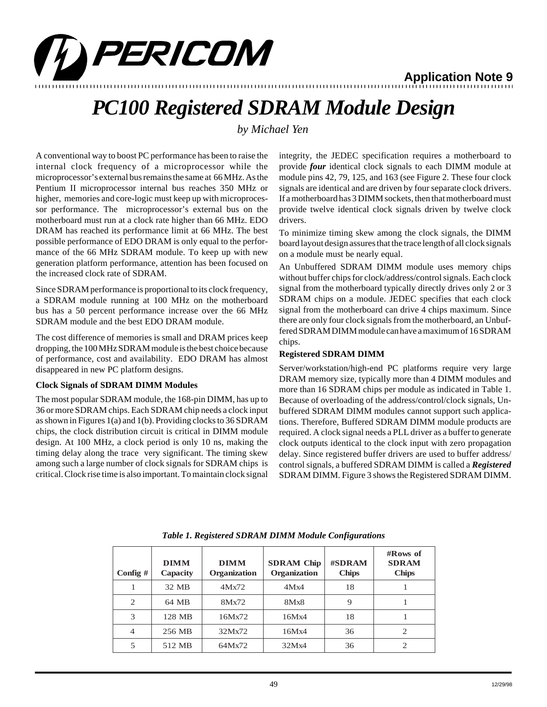

#### 12345678901234567890123456789012123456789012345678901234567890121234567890123456789012345678901212345678901234567890123456789012123456789012 12345678901234567890123456789012123456789012345678901234567890121234567890123456789012345678901212345678901234567890123456789012123456789012 **Application Note 9**

# *PC100 Registered SDRAM Module Design*

*by Michael Yen*

A conventional way to boost PC performance has been to raise the internal clock frequency of a microprocessor while the microprocessor's external bus remains the same at 66 MHz. As the Pentium II microprocessor internal bus reaches 350 MHz or higher, memories and core-logic must keep up with microprocessor performance. The microprocessor's external bus on the motherboard must run at a clock rate higher than 66 MHz. EDO DRAM has reached its performance limit at 66 MHz. The best possible performance of EDO DRAM is only equal to the performance of the 66 MHz SDRAM module. To keep up with new generation platform performance, attention has been focused on the increased clock rate of SDRAM.

Since SDRAM performance is proportional to its clock frequency, a SDRAM module running at 100 MHz on the motherboard bus has a 50 percent performance increase over the 66 MHz SDRAM module and the best EDO DRAM module.

The cost difference of memories is small and DRAM prices keep dropping, the 100 MHz SDRAM module is the best choice because of performance, cost and availability. EDO DRAM has almost disappeared in new PC platform designs.

## **Clock Signals of SDRAM DIMM Modules**

The most popular SDRAM module, the 168-pin DIMM, has up to 36 or more SDRAM chips. Each SDRAM chip needs a clock input as shown in Figures 1(a) and 1(b). Providing clocks to 36 SDRAM chips, the clock distribution circuit is critical in DIMM module design. At 100 MHz, a clock period is only 10 ns, making the timing delay along the trace very significant. The timing skew among such a large number of clock signals for SDRAM chips is critical. Clock rise time is also important. To maintain clock signal

integrity, the JEDEC specification requires a motherboard to provide *four* identical clock signals to each DIMM module at module pins 42, 79, 125, and 163 (see Figure 2. These four clock signals are identical and are driven by four separate clock drivers. If a motherboard has 3 DIMM sockets, then that motherboard must provide twelve identical clock signals driven by twelve clock drivers.

To minimize timing skew among the clock signals, the DIMM board layout design assures that the trace length of all clock signals on a module must be nearly equal.

An Unbuffered SDRAM DIMM module uses memory chips without buffer chips for clock/address/control signals. Each clock signal from the motherboard typically directly drives only 2 or 3 SDRAM chips on a module. JEDEC specifies that each clock signal from the motherboard can drive 4 chips maximum. Since there are only four clock signals from the motherboard, an Unbuffered SDRAM DIMM module can have a maximum of 16 SDRAM chips.

# **Registered SDRAM DIMM**

Server/workstation/high-end PC platforms require very large DRAM memory size, typically more than 4 DIMM modules and more than 16 SDRAM chips per module as indicated in Table 1. Because of overloading of the address/control/clock signals, Unbuffered SDRAM DIMM modules cannot support such applications. Therefore, Buffered SDRAM DIMM module products are required. A clock signal needs a PLL driver as a buffer to generate clock outputs identical to the clock input with zero propagation delay. Since registered buffer drivers are used to buffer address/ control signals, a buffered SDRAM DIMM is called a *Registered* SDRAM DIMM. Figure 3 shows the Registered SDRAM DIMM.

| Config $#$     | <b>DIMM</b><br>Capacity | <b>DIMM</b><br>Organization | <b>SDRAM</b> Chip<br>Organization | #SDRAM<br><b>Chips</b> | $\#$ Rows of<br><b>SDRAM</b><br><b>Chips</b> |
|----------------|-------------------------|-----------------------------|-----------------------------------|------------------------|----------------------------------------------|
| 1              | 32 MB                   | 4Mx72                       | 4Mx4                              | 18                     |                                              |
| 2              | 64 MB                   | 8Mx72                       | 8Mx8                              | 9                      |                                              |
| 3              | 128 MB                  | 16Mx72                      | 16Mx4                             | 18                     |                                              |
| $\overline{4}$ | 256 MB                  | 32Mx72                      | 16Mx4                             | 36                     | $\mathfrak{2}$                               |
| 5              | 512 MB                  | 64Mx72                      | 32Mx4                             | 36                     | $\mathcal{D}_{\mathcal{L}}$                  |

*Table 1. Registered SDRAM DIMM Module Configurations*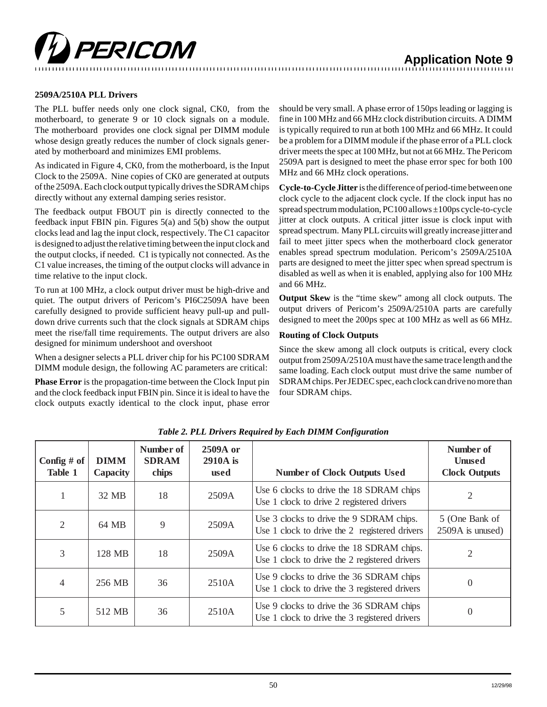

# **Application Note 9**

#### **2509A/2510A PLL Drivers**

The PLL buffer needs only one clock signal, CK0, from the motherboard, to generate 9 or 10 clock signals on a module. The motherboard provides one clock signal per DIMM module whose design greatly reduces the number of clock signals generated by motherboard and minimizes EMI problems.

As indicated in Figure 4, CK0, from the motherboard, is the Input Clock to the 2509A. Nine copies of CK0 are generated at outputs of the 2509A. Each clock output typically drives the SDRAM chips directly without any external damping series resistor.

The feedback output FBOUT pin is directly connected to the feedback input FBIN pin. Figures 5(a) and 5(b) show the output clocks lead and lag the input clock, respectively. The C1 capacitor is designed to adjust the relative timing between the input clock and the output clocks, if needed. C1 is typically not connected. As the C1 value increases, the timing of the output clocks will advance in time relative to the input clock.

To run at 100 MHz, a clock output driver must be high-drive and quiet. The output drivers of Pericom's PI6C2509A have been carefully designed to provide sufficient heavy pull-up and pulldown drive currents such that the clock signals at SDRAM chips meet the rise/fall time requirements. The output drivers are also designed for minimum undershoot and overshoot

When a designer selects a PLL driver chip for his PC100 SDRAM DIMM module design, the following AC parameters are critical:

**Phase Error** is the propagation-time between the Clock Input pin and the clock feedback input FBIN pin. Since it is ideal to have the clock outputs exactly identical to the clock input, phase error

should be very small. A phase error of 150ps leading or lagging is fine in 100 MHz and 66 MHz clock distribution circuits. A DIMM is typically required to run at both 100 MHz and 66 MHz. It could be a problem for a DIMM module if the phase error of a PLL clock driver meets the spec at 100 MHz, but not at 66 MHz. The Pericom 2509A part is designed to meet the phase error spec for both 100 MHz and 66 MHz clock operations.

**Cycle-to-Cycle Jitter** is the difference of period-time between one clock cycle to the adjacent clock cycle. If the clock input has no spread spectrum modulation, PC100 allows ±100ps cycle-to-cycle jitter at clock outputs. A critical jitter issue is clock input with spread spectrum. Many PLL circuits will greatly increase jitter and fail to meet jitter specs when the motherboard clock generator enables spread spectrum modulation. Pericom's 2509A/2510A parts are designed to meet the jitter spec when spread spectrum is disabled as well as when it is enabled, applying also for 100 MHz and 66 MHz.

**Output Skew** is the "time skew" among all clock outputs. The output drivers of Pericom's 2509A/2510A parts are carefully designed to meet the 200ps spec at 100 MHz as well as 66 MHz.

#### **Routing of Clock Outputs**

Since the skew among all clock outputs is critical, every clock output from 2509A/2510A must have the same trace length and the same loading. Each clock output must drive the same number of SDRAM chips. Per JEDEC spec, each clock can drive no more than four SDRAM chips.

| Config $#$ of<br>Table 1 | <b>DIMM</b><br><b>Capacity</b> | Number of<br><b>SDRAM</b><br>chips | 2509A or<br>$2910A$ is<br>used | <b>Number of Clock Outputs Used</b>                                                        | Number of<br><b>Unused</b><br><b>Clock Outputs</b> |
|--------------------------|--------------------------------|------------------------------------|--------------------------------|--------------------------------------------------------------------------------------------|----------------------------------------------------|
|                          | 32 MB                          | 18                                 | 2509A                          | Use 6 clocks to drive the 18 SDRAM chips<br>Use 1 clock to drive 2 registered drivers      | 2                                                  |
| 2                        | 64 MB                          | 9                                  | 2509A                          | Use 3 clocks to drive the 9 SDRAM chips.<br>Use 1 clock to drive the 2 registered drivers  | 5 (One Bank of<br>2509A is unused)                 |
| 3                        | 128 MB                         | 18                                 | 2509A                          | Use 6 clocks to drive the 18 SDRAM chips.<br>Use 1 clock to drive the 2 registered drivers | $\overline{2}$                                     |
| 4                        | 256 MB                         | 36                                 | 2510A                          | Use 9 clocks to drive the 36 SDRAM chips<br>Use 1 clock to drive the 3 registered drivers  | $\theta$                                           |
| 5                        | 512 MB                         | 36                                 | 2510A                          | Use 9 clocks to drive the 36 SDRAM chips<br>Use 1 clock to drive the 3 registered drivers  | $\theta$                                           |

*Table 2. PLL Drivers Required by Each DIMM Configuration*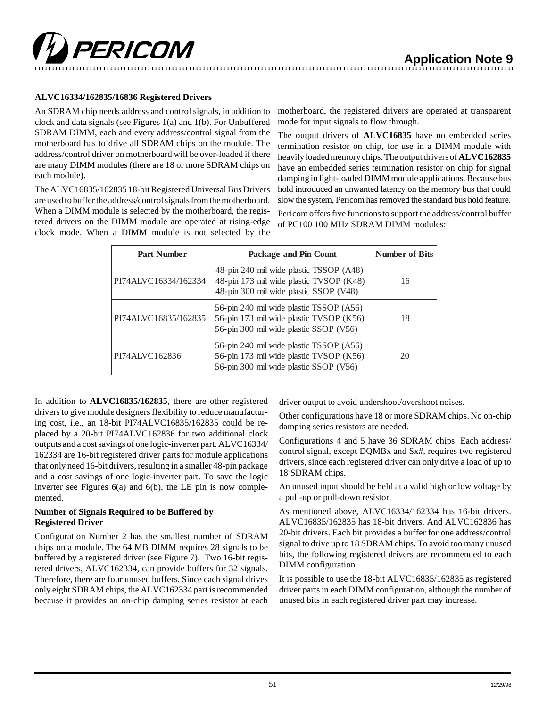

#### **ALVC16334/162835/16836 Registered Drivers**

PERICOM

An SDRAM chip needs address and control signals, in addition to clock and data signals (see Figures 1(a) and 1(b). For Unbuffered SDRAM DIMM, each and every address/control signal from the motherboard has to drive all SDRAM chips on the module. The address/control driver on motherboard will be over-loaded if there are many DIMM modules (there are 18 or more SDRAM chips on each module).

The ALVC16835/162835 18-bit Registered Universal Bus Drivers are used to buffer the address/control signals from the motherboard. When a DIMM module is selected by the motherboard, the registered drivers on the DIMM module are operated at rising-edge clock mode. When a DIMM module is not selected by the

motherboard, the registered drivers are operated at transparent mode for input signals to flow through.

The output drivers of **ALVC16835** have no embedded series termination resistor on chip, for use in a DIMM module with heavily loaded memory chips. The output drivers of **ALVC162835** have an embedded series termination resistor on chip for signal damping in light-loaded DIMM module applications. Because bus hold introduced an unwanted latency on the memory bus that could slow the system, Pericom has removed the standard bus hold feature.

Pericom offers five functions to support the address/control buffer of PC100 100 MHz SDRAM DIMM modules:

| <b>Part Number</b>   | Package and Pin Count                                                                                                        | <b>Number of Bits</b> |
|----------------------|------------------------------------------------------------------------------------------------------------------------------|-----------------------|
| PI74ALVC16334/162334 | 48-pin 240 mil wide plastic TSSOP (A48)<br>48-pin 173 mil wide plastic TVSOP (K48)<br>48-pin 300 mil wide plastic SSOP (V48) | 16                    |
| PI74ALVC16835/162835 | 56-pin 240 mil wide plastic TSSOP (A56)<br>56-pin 173 mil wide plastic TVSOP (K56)<br>56-pin 300 mil wide plastic SSOP (V56) | 18                    |
| PI74ALVC162836       | 56-pin 240 mil wide plastic TSSOP (A56)<br>56-pin 173 mil wide plastic TVSOP (K56)<br>56-pin 300 mil wide plastic SSOP (V56) | 20                    |

In addition to **ALVC16835/162835**, there are other registered drivers to give module designers flexibility to reduce manufacturing cost, i.e., an 18-bit PI74ALVC16835/162835 could be replaced by a 20-bit PI74ALVC162836 for two additional clock outputs and a cost savings of one logic-inverter part. ALVC16334/ 162334 are 16-bit registered driver parts for module applications that only need 16-bit drivers, resulting in a smaller 48-pin package and a cost savings of one logic-inverter part. To save the logic inverter see Figures 6(a) and 6(b), the LE pin is now complemented.

#### **Number of Signals Required to be Buffered by Registered Driver**

Configuration Number 2 has the smallest number of SDRAM chips on a module. The 64 MB DIMM requires 28 signals to be buffered by a registered driver (see Figure 7). Two 16-bit registered drivers, ALVC162334, can provide buffers for 32 signals. Therefore, there are four unused buffers. Since each signal drives only eight SDRAM chips, the ALVC162334 part is recommended because it provides an on-chip damping series resistor at each driver output to avoid undershoot/overshoot noises.

Other configurations have 18 or more SDRAM chips. No on-chip damping series resistors are needed.

Configurations 4 and 5 have 36 SDRAM chips. Each address/ control signal, except DQMBx and Sx#, requires two registered drivers, since each registered driver can only drive a load of up to 18 SDRAM chips.

An unused input should be held at a valid high or low voltage by a pull-up or pull-down resistor.

As mentioned above, ALVC16334/162334 has 16-bit drivers. ALVC16835/162835 has 18-bit drivers. And ALVC162836 has 20-bit drivers. Each bit provides a buffer for one address/control signal to drive up to 18 SDRAM chips. To avoid too many unused bits, the following registered drivers are recommended to each DIMM configuration.

It is possible to use the 18-bit ALVC16835/162835 as registered driver parts in each DIMM configuration, although the number of unused bits in each registered driver part may increase.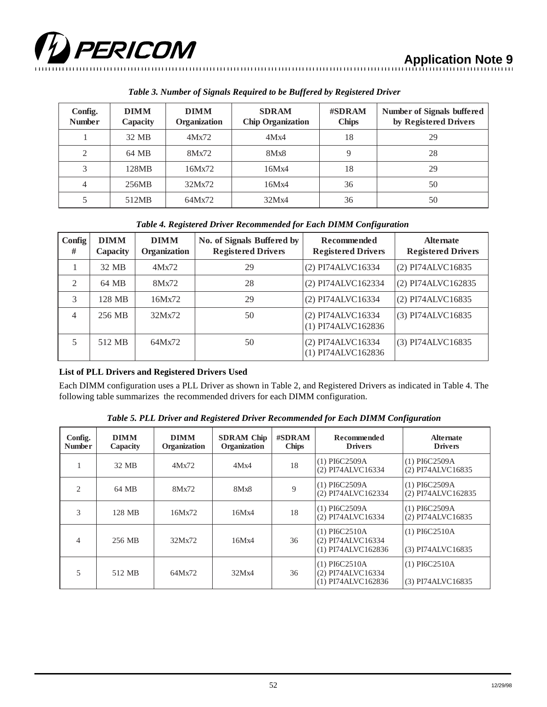

**Application Note 9**

| Config.<br><b>Number</b> | <b>DIMM</b><br>Capacity | <b>DIMM</b><br>Organization | <b>SDRAM</b><br><b>Chip Organization</b> | #SDRAM<br><b>Chips</b> | Number of Signals buffered<br>by Registered Drivers |
|--------------------------|-------------------------|-----------------------------|------------------------------------------|------------------------|-----------------------------------------------------|
|                          | 32 MB                   | 4Mx72                       | 4Mx4                                     | 18                     | 29                                                  |
| $\overline{2}$           | 64 MB                   | 8Mx72                       | 8Mx8                                     | 9                      | 28                                                  |
| 3                        | 128MB                   | 16Mx72                      | 16Mx4                                    | 18                     | 29                                                  |
| 4                        | 256MB                   | 32Mx72                      | 16Mx4                                    | 36                     | 50                                                  |
| 5                        | 512MB                   | 64Mx72                      | 32Mx4                                    | 36                     | 50                                                  |

*Table 3. Number of Signals Required to be Buffered by Registered Driver*

# *Table 4. Registered Driver Recommended for Each DIMM Configuration*

| Config<br>#    | <b>DIMM</b><br>Capacity | <b>DIMM</b><br>Organization | No. of Signals Buffered by<br><b>Registered Drivers</b> | Recommended<br><b>Registered Drivers</b> | <b>Alternate</b><br><b>Registered Drivers</b> |
|----------------|-------------------------|-----------------------------|---------------------------------------------------------|------------------------------------------|-----------------------------------------------|
|                | 32 MB                   | 4Mx72                       | 29                                                      | (2) PI74ALVC16334                        | (2) PI74ALVC16835                             |
| $\mathfrak{D}$ | 64 MB                   | 8Mx72                       | 28                                                      | (2) PI74ALVC162334                       | (2) PI74ALVC162835                            |
| 3              | 128 MB                  | 16Mx72                      | 29                                                      | (2) PI74ALVC16334                        | (2) PI74ALVC16835                             |
| $\overline{4}$ | 256 MB                  | 32Mx72                      | 50                                                      | (2) PI74ALVC16334<br>(1) PI74ALVC162836  | (3) PI74ALVC16835                             |
|                | 512 MB                  | 64Mx72                      | 50                                                      | (2) PI74ALVC16334<br>(1) PI74ALVC162836  | (3) PI74ALVC16835                             |

## **List of PLL Drivers and Registered Drivers Used**

Each DIMM configuration uses a PLL Driver as shown in Table 2, and Registered Drivers as indicated in Table 4. The following table summarizes the recommended drivers for each DIMM configuration.

**Config. Number DIMM Capacity DIMM Organization SDRAM Chip Organization #SDRAM Chips Recommended Drivers Alternate Drivers** 1  $32 MB$   $4Mx72$   $4Mx4$   $18$   $(1) P16C2509A$ (2) PI74ALVC16334 (1) PI6C2509A (2) PI74ALVC16835 2 | 64 MB | 8Mx72 | 8Mx8 | 9 | (1) PI6C2509A (2) PI74ALVC162334 (1) PI6C2509A (2) PI74ALVC162835 3 | 128 MB | 16Mx72 | 16Mx4 | 18 | (1) PI6C2509A (2) PI74ALVC16334 (1) PI6C2509A (2) PI74ALVC16835 4 | 256 MB | 32Mx72 | 16Mx4 | 36 (1) PI6C2510A (2) PI74ALVC16334 (1) PI74ALVC162836 (1) PI6C2510A (3) PI74ALVC16835 5 | 512 MB | 64Mx72 | 32Mx4 | 36 (1) PI6C2510A (2) PI74ALVC16334 (1) PI74ALVC162836 (1) PI6C2510A (3) PI74ALVC16835

*Table 5. PLL Driver and Registered Driver Recommended for Each DIMM Configuration*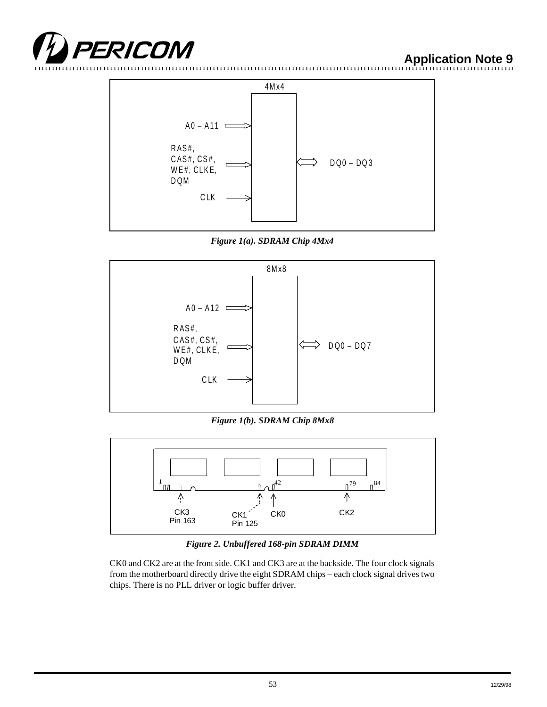

**Application Note 9**







*Figure 1(b). SDRAM Chip 8Mx8*



*Figure 2. Unbuffered 168-pin SDRAM DIMM*

CK0 and CK2 are at the front side. CK1 and CK3 are at the backside. The four clock signals from the motherboard directly drive the eight SDRAM chips – each clock signal drives two chips. There is no PLL driver or logic buffer driver.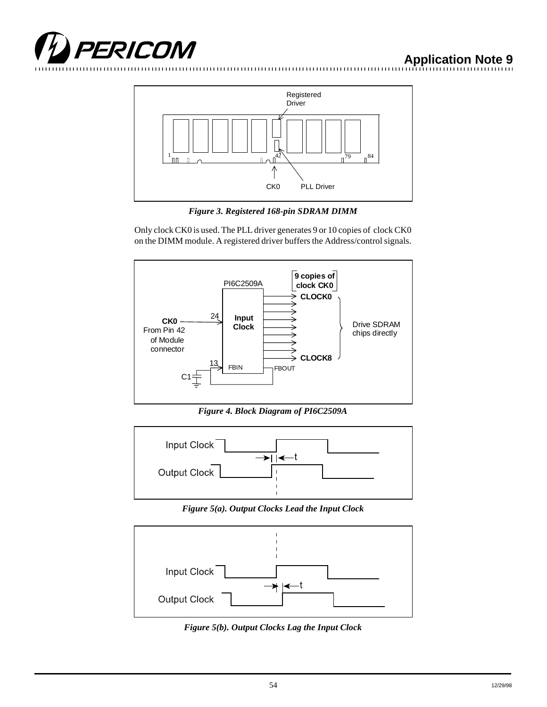



*Figure 3. Registered 168-pin SDRAM DIMM*

Only clock CK0 is used. The PLL driver generates 9 or 10 copies of clock CK0 on the DIMM module. A registered driver buffers the Address/control signals.



*Figure 4. Block Diagram of PI6C2509A*



*Figure 5(a). Output Clocks Lead the Input Clock*



*Figure 5(b). Output Clocks Lag the Input Clock*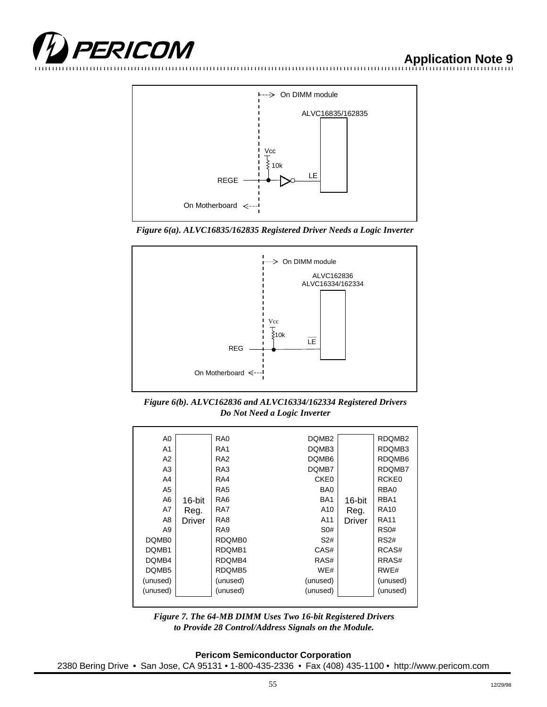







*Figure 6(b). ALVC162836 and ALVC16334/162334 Registered Drivers Do Not Need a Logic Inverter*

| A0                |        | RA <sub>0</sub> | DQMB <sub>2</sub> |        | RDQMB2            |
|-------------------|--------|-----------------|-------------------|--------|-------------------|
| A <sub>1</sub>    |        | RA <sub>1</sub> | DQMB <sub>3</sub> |        | RDQMB3            |
| A2                |        | RA <sub>2</sub> | DQMB6             |        | RDQMB6            |
| A3                |        | RA3             | DQMB7             |        | RDQMB7            |
| A4                |        | RA4             | CKE0              |        | RCKE <sub>0</sub> |
| A5                |        | RA <sub>5</sub> | B <sub>A0</sub>   |        | RBA0              |
| A6                | 16-bit | RA <sub>6</sub> | BA <sub>1</sub>   | 16-bit | RBA1              |
| A7                | Reg.   | RA7             | A10               | Reg.   | <b>RA10</b>       |
| A8                | Driver | RA <sub>8</sub> | A11               | Driver | <b>RA11</b>       |
| A9                |        | RA <sub>9</sub> | S0#               |        | RS <sub>0</sub> # |
| DQMB <sub>0</sub> |        | RDQMB0          | S <sub>2#</sub>   |        | RS2#              |
| DQMB1             |        | RDQMB1          | CAS#              |        | RCAS#             |
| DQMB4             |        | RDQMB4          | RAS#              |        | RRAS#             |
| DQMB <sub>5</sub> |        | RDQMB5          | WE#               |        | RWE#              |
| (unused)          |        | (unused)        | (unused)          |        | (unused)          |
| (unused)          |        | (unused)        | (unused)          |        | (unused)          |
|                   |        |                 |                   |        |                   |



**Pericom Semiconductor Corporation** 2380 Bering Drive • San Jose, CA 95131 • 1-800-435-2336 • Fax (408) 435-1100 • http://www.pericom.com